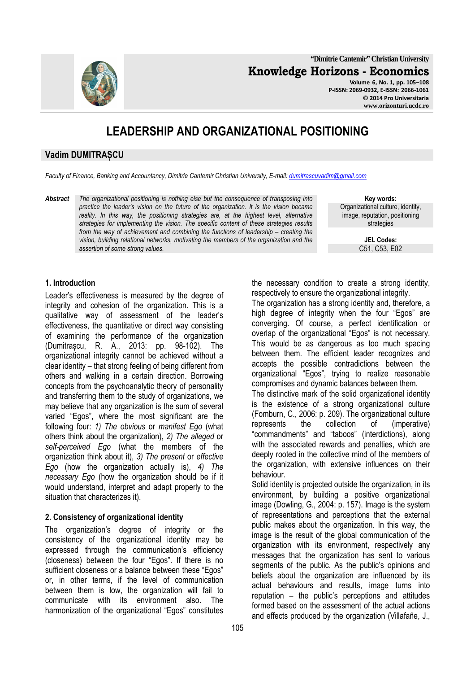**"Dimitrie Cantemir" Christian University Knowledge Horizons - Economics Volume 6, No. 1, pp. 105–108 P-ISSN: 2069-0932, E-ISSN: 2066-1061**

**© 2014 Pro Universitaria www.orizonturi.ucdc.ro** 

# **LEADERSHIP AND ORGANIZATIONAL POSITIONING**

# **Vadim DUMITRAȘCU**

*Faculty of Finance, Banking and Accountancy, Dimitrie Cantemir Christian University, E-mail: dumitrascuvadim@gmail.com*

*Abstract The organizational positioning is nothing else but the consequence of transposing into practice the leader's vision on the future of the organization. It is the vision became reality. In this way, the positioning strategies are, at the highest level, alternative strategies for implementing the vision. The specific content of these strategies results from the way of achievement and combining the functions of leadership – creating the vision, building relational networks, motivating the members of the organization and the assertion of some strong values.* 

**Key words:** Organizational culture, identity, image, reputation, positioning strategies

> **JEL Codes:** C51, C53, E02

#### **1. Introduction**

Leader's effectiveness is measured by the degree of integrity and cohesion of the organization. This is a qualitative way of assessment of the leader's effectiveness, the quantitative or direct way consisting of examining the performance of the organization (Dumitrașcu, R. A., 2013: pp. 98-102). The organizational integrity cannot be achieved without a clear identity – that strong feeling of being different from others and walking in a certain direction. Borrowing concepts from the psychoanalytic theory of personality and transferring them to the study of organizations, we may believe that any organization is the sum of several varied "Egos", where the most significant are the following four: *1) The obvious* or *manifest Ego* (what others think about the organization), *2) The alleged* or *self-perceived Ego* (what the members of the organization think about it), *3) The present* or *effective Ego* (how the organization actually is), *4) The necessary Ego* (how the organization should be if it would understand, interpret and adapt properly to the situation that characterizes it).

## **2. Consistency of organizational identity**

The organization's degree of integrity or the consistency of the organizational identity may be expressed through the communication's efficiency (closeness) between the four "Egos". If there is no sufficient closeness or a balance between these "Egos" or, in other terms, if the level of communication between them is low, the organization will fail to communicate with its environment also. The harmonization of the organizational "Egos" constitutes

105

the necessary condition to create a strong identity, respectively to ensure the organizational integrity.

The organization has a strong identity and, therefore, a high degree of integrity when the four "Egos" are converging. Of course, a perfect identification or overlap of the organizational "Egos" is not necessary. This would be as dangerous as too much spacing between them. The efficient leader recognizes and accepts the possible contradictions between the organizational "Egos", trying to realize reasonable compromises and dynamic balances between them.

The distinctive mark of the solid organizational identity is the existence of a strong organizational culture (Fomburn, C., 2006: p. 209). The organizational culture represents the collection of (imperative) "commandments" and "taboos" (interdictions), along with the associated rewards and penalties, which are deeply rooted in the collective mind of the members of the organization, with extensive influences on their behaviour.

Solid identity is projected outside the organization, in its environment, by building a positive organizational image (Dowling, G., 2004: p. 157). Image is the system of representations and perceptions that the external public makes about the organization. In this way, the image is the result of the global communication of the organization with its environment, respectively any messages that the organization has sent to various segments of the public. As the public's opinions and beliefs about the organization are influenced by its actual behaviours and results, image turns into reputation – the public's perceptions and attitudes formed based on the assessment of the actual actions and effects produced by the organization (Villafañe, J.,

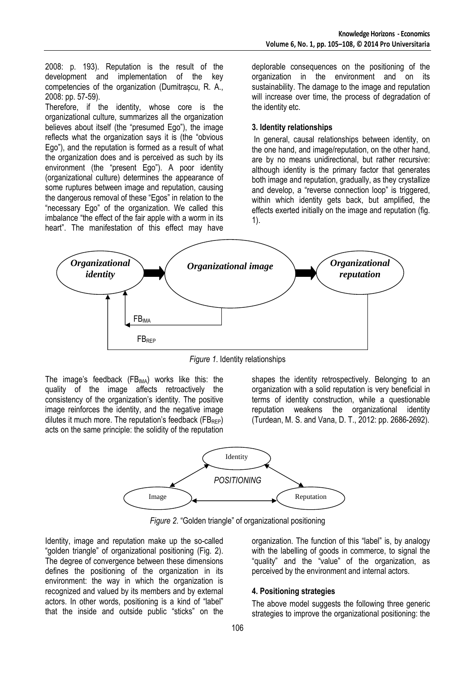2008: p. 193). Reputation is the result of the development and implementation of the key competencies of the organization (Dumitrașcu, R. A., 2008: pp. 57-59).

Therefore, if the identity, whose core is the organizational culture, summarizes all the organization believes about itself (the "presumed Ego"), the image reflects what the organization says it is (the "obvious Ego"), and the reputation is formed as a result of what the organization does and is perceived as such by its environment (the "present Ego"). A poor identity (organizational culture) determines the appearance of some ruptures between image and reputation, causing the dangerous removal of these "Egos" in relation to the "necessary Ego" of the organization. We called this imbalance "the effect of the fair apple with a worm in its heart". The manifestation of this effect may have

deplorable consequences on the positioning of the organization in the environment and on its sustainability. The damage to the image and reputation will increase over time, the process of degradation of the identity etc.

#### **3. Identity relationships**

 In general, causal relationships between identity, on the one hand, and image/reputation, on the other hand, are by no means unidirectional, but rather recursive: although identity is the primary factor that generates both image and reputation, gradually, as they crystallize and develop, a "reverse connection loop" is triggered, within which identity gets back, but amplified, the effects exerted initially on the image and reputation (fig. 1).



*Figure 1*. Identity relationships

The image's feedback  $(FB_{IMA})$  works like this: the quality of the image affects retroactively the consistency of the organization's identity. The positive image reinforces the identity, and the negative image dilutes it much more. The reputation's feedback ( $FB_{RFP}$ ) acts on the same principle: the solidity of the reputation

shapes the identity retrospectively. Belonging to an organization with a solid reputation is very beneficial in terms of identity construction, while a questionable reputation weakens the organizational identity (Turdean, M. S. and Vana, D. T., 2012: pp. 2686-2692).



*Figure 2*. "Golden triangle" of organizational positioning

Identity, image and reputation make up the so-called "golden triangle" of organizational positioning (Fig. 2). The degree of convergence between these dimensions defines the positioning of the organization in its environment: the way in which the organization is recognized and valued by its members and by external actors. In other words, positioning is a kind of "label" that the inside and outside public "sticks" on the organization. The function of this "label" is, by analogy with the labelling of goods in commerce, to signal the "quality" and the "value" of the organization, as perceived by the environment and internal actors.

## **4. Positioning strategies**

The above model suggests the following three generic strategies to improve the organizational positioning: the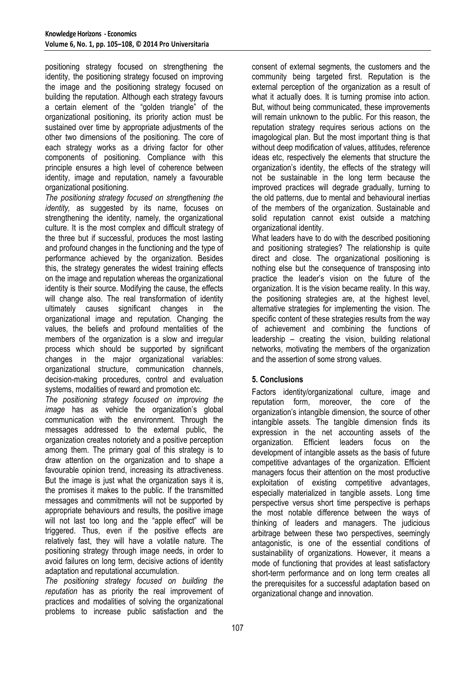positioning strategy focused on strengthening the identity, the positioning strategy focused on improving the image and the positioning strategy focused on building the reputation. Although each strategy favours a certain element of the "golden triangle" of the organizational positioning, its priority action must be sustained over time by appropriate adjustments of the other two dimensions of the positioning. The core of each strategy works as a driving factor for other components of positioning. Compliance with this principle ensures a high level of coherence between identity, image and reputation, namely a favourable organizational positioning.

*The positioning strategy focused on strengthening the identity,* as suggested by its name, focuses on strengthening the identity, namely, the organizational culture. It is the most complex and difficult strategy of the three but if successful, produces the most lasting and profound changes in the functioning and the type of performance achieved by the organization. Besides this, the strategy generates the widest training effects on the image and reputation whereas the organizational identity is their source. Modifying the cause, the effects will change also. The real transformation of identity ultimately causes significant changes in the organizational image and reputation. Changing the values, the beliefs and profound mentalities of the members of the organization is a slow and irregular process which should be supported by significant changes in the major organizational variables: organizational structure, communication channels, decision-making procedures, control and evaluation systems, modalities of reward and promotion etc.

*The positioning strategy focused on improving the image* has as vehicle the organization's global communication with the environment. Through the messages addressed to the external public, the organization creates notoriety and a positive perception among them. The primary goal of this strategy is to draw attention on the organization and to shape a favourable opinion trend, increasing its attractiveness. But the image is just what the organization says it is, the promises it makes to the public. If the transmitted messages and commitments will not be supported by appropriate behaviours and results, the positive image will not last too long and the "apple effect" will be triggered. Thus, even if the positive effects are relatively fast, they will have a volatile nature. The positioning strategy through image needs, in order to avoid failures on long term, decisive actions of identity adaptation and reputational accumulation.

*The positioning strategy focused on building the reputation* has as priority the real improvement of practices and modalities of solving the organizational problems to increase public satisfaction and the consent of external segments, the customers and the community being targeted first. Reputation is the external perception of the organization as a result of what it actually does. It is turning promise into action. But, without being communicated, these improvements will remain unknown to the public. For this reason, the reputation strategy requires serious actions on the imagological plan. But the most important thing is that without deep modification of values, attitudes, reference ideas etc, respectively the elements that structure the organization's identity, the effects of the strategy will not be sustainable in the long term because the improved practices will degrade gradually, turning to the old patterns, due to mental and behavioural inertias of the members of the organization. Sustainable and solid reputation cannot exist outside a matching organizational identity.

What leaders have to do with the described positioning and positioning strategies? The relationship is quite direct and close. The organizational positioning is nothing else but the consequence of transposing into practice the leader's vision on the future of the organization. It is the vision became reality. In this way, the positioning strategies are, at the highest level, alternative strategies for implementing the vision. The specific content of these strategies results from the way of achievement and combining the functions of leadership – creating the vision, building relational networks, motivating the members of the organization and the assertion of some strong values.

# **5. Conclusions**

Factors identity/organizational culture, image and reputation form, moreover, the core of the organization's intangible dimension, the source of other intangible assets. The tangible dimension finds its expression in the net accounting assets of the organization. Efficient leaders focus on the development of intangible assets as the basis of future competitive advantages of the organization. Efficient managers focus their attention on the most productive exploitation of existing competitive advantages, especially materialized in tangible assets. Long time perspective versus short time perspective is perhaps the most notable difference between the ways of thinking of leaders and managers. The judicious arbitrage between these two perspectives, seemingly antagonistic, is one of the essential conditions of sustainability of organizations. However, it means a mode of functioning that provides at least satisfactory short-term performance and on long term creates all the prerequisites for a successful adaptation based on organizational change and innovation.